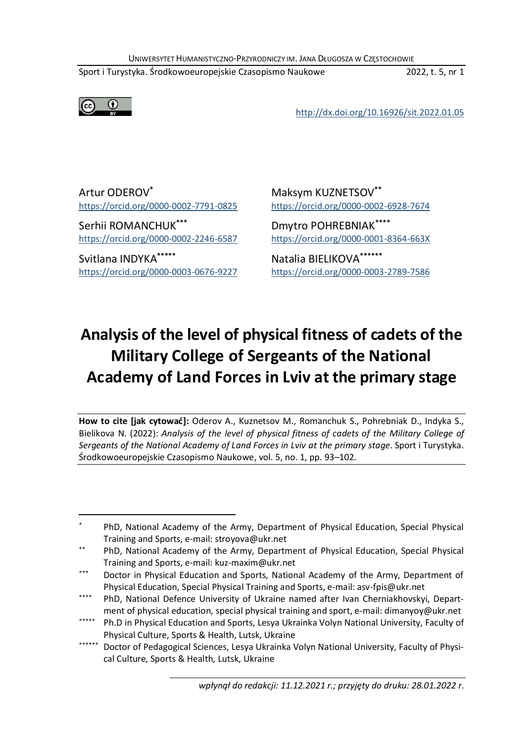UNIWERSYTET HUMANISTYCZNO-PRZYRODNICZY IM. JANA DŁUGOSZA W CZĘSTOCHOWIE<br>1974 - Strodkowoeuropejskie Czasopismo Naukowe<br>http://dx.doi.org/10.16926/sit.2022.01.05 UNIWERSYTET HUMANISTYCZNO-PRZYRODNICZY IM. JANA DŁUGOSZA W CZĘSTOCHOWIE<br>Sport i Turystyka. Środkowoeuropejskie Czasopismo Naukowe 2022, t. 5, nr 1<br>http://dx.doi.org/10.16926/sit.2022.01.05 UNIWERSYTET HUMANISTYCZNO-PRZYRODNICZY IM. JANA DŁUGOSZA W CZĘSTOCHOWIE<br>
Sport i Turystyka. Środkowoeuropejskie Czasopismo Naukowe<br>
<u>http://dx.doi.org/10.16926/sit.2022.01.05</u><br> **http://dx.doi.org/10.16926/sit.2022.01.05** 



UNIWERSYTET HUMANISTYCZNO-PRZYRODNICZY IM. JANA DŁUGOSZA W CZĘSTOCH<br>
Sport i Turystyka. Środkowoeuropejskie Czasopismo Naukowe<br>
(CO O https://dx.doi.org/10.169;<br>
Artur ODEROV\* https://orcid.org/0000-0002-7791-0825<br>
Serhii UNIWERSYTET HUMANISTYCZNO-PRZYRODNICZY IM. JANA DŁUGOSZA W CZĘSTOCH<br>
Sport i Turystyka. Środkowoeuropejskie Czasopismo Naukowe<br>
(CC) (CC) http://dx.doi.org/10.1692<br>
https://orcid.org/0000-0002-7791-0825<br>
Serhii ROMANCHUK\*\* UNIWERSYTET HUMANISTYCZNO-PRZYRODNICZY IM. JANA DŁUGOSZA W CZĘSTOCHOW<br>
Sport i Turystyka. Srodkowoeuropejskie Czasopismo Naukowe<br>
(CD (D https://orcid.org/10.16926/<br>
https://orcid.org/0000-0002-7791-0825<br>
Serhii ROMANCHUK\*

ICZY IM. JANA DŁUGOSZA W CZĘSTOCHOWIE<br>
mo Naukowe 2022, t. 5, nr 1<br>
http://dx.doi.org/10.16926/sit.2022.01.05<br>
Maksym KUZNETSOV\*\*<br>
https://orcid.org/0000-0002-6928-7674<br>
Dmytro POHREBNIAK\*\*\*\*\*<br>
https://orcid.org/0000-0001-

ICZY IM. JANA DŁUGOSZA W CZĘSTOCHOWIE<br>
mo Naukowe 2022, t. 5, nr 1<br>
http://dx.doi.org/10.16926/sit.2022.01.05<br>
Maksym KUZNETSOV\*\*<br>
https://orcid.org/0000-0002-6928-7674<br>
Dmytro POHREBNIAK\*\*\*\*<br>
https://orcid.org/0000-0001-8 ICZY IM. JANA DŁUGOSZA W CZĘSTOCHOWIE<br>
mo Naukowe 2022, t. 5, nr 1<br>
http://dx.doi.org/10.16926/sit.2022.01.05<br>
Maksym KUZNETSOV\*\*<br>
https://orcid.org/0000-0002-6928-7674<br>
Dmytro POHREBNIAK\*\*\*\*<br>
https://orcid.org/0000-0001-8

# Analysis of the level of physical fitness of cadets of the Military College of Sergeants of the Military Scate Reverse of Cadets of the Military College of Sergeants of the Nulliar Academy of Land Forces in Lyiv at the pri DDEROV' Maksym KUZNETSOV''<br>
Maksym KUZNETSOV''<br>
Maksym KUZNETSOV''<br>
Moment College of Sergeants of the National<br>
MIDYKA'''' Matalia BIELIKOVA''''''<br>
Natalia BIELIKOVA''''''<br>
Natalia BIELIKOVA''''''<br>
Wissis of the level of mathemy of Land Forces in Lyiv at the primary stage<br>
Herbit ROMANCHUK<sup>\*\*\*</sup><br>
Action Forces in Lyiv at the POHREBNIAK<sup>\*\*\*\*</sup><br>
https://orcid.org/0000-0002-2246-6587<br>
Actaila BIELIKOVA<sup>\*\*\*\*\*</sup><br>
Matalia BIELIKOVA<sup>\*\*\*\*\*\*</sup><br>
Matalia https://orcid.org/0000-0002-7791-0825<br>
Serhii ROMANCHUK<sup>\*\*\*\*</sup><br>
Homes://orcid.org/0000-0002-2246-6587<br>
Svitlana INDYKA\*\*\*\*\*<br>
Svitlana INDYKA\*\*\*\*\*<br>
Svitlana INDYKA\*\*\*\*\*<br>
Matalia BIELIKOVA<sup>\*\*\*\*\*\*</sup><br>
Intes://orcid.org/0000-0003 Serhii ROMANCHUK\*\*\*<br>
Dimes://ordi.org/0000-0002-2246-6587<br>
Svitlana INDYKA\*\*\*\*\* Hutps://ordi.org/0000-0001-8364-663X<br>
Svitlana INDYKA\*\*\*\*\* Natalia BIELIKOVA\*\*\*\*\*\*<br>
https://ordi.org/0000-0003-3676-9227<br> **Analysis of the lev** Sergeants of the National Academy of Land Forces in Lviv at the primary stage. Sport i Turystyka. Syron Control Cytoco-2246-5557<br>
Syron Control Cytoco-2246-5557<br>
Syron Control Cytoco-22246-5557<br>
Matalia BIELIKOVA<sup>2</sup><br>
Matalia BIELIKOVA<sup>2</sup><br>
Matalia BIELIKOVA<sup>2</sup><br>
Matalia BIELIKOVA<sup>2</sup><br>
Matalia BIELIKOVA<sup>2</sup><br>
Matalia BIELIKO **Analysis of the level of physical fitness of cadets of the<br>
Military College of Sergeants of the National<br>
Academy of Land Forces in Lviv at the primary stage<br>
How to dte [Jak cytowa4]: Oderov A., Kuznetsov M., Romanchuk Analysis of the level of physical fitness of cadets of the<br>
Military College of Sergeants of the National<br>
Academy of Land Forces in Lviv at the primary stage<br>
How to tite [jak cytowa<sup>c</sup>]: Oderov A., Kuznetsov M., Romanch**

**Military College of Sergeants of the National<br>
Academy of Land Forces in Lviv at the primary stage<br>
How to atte liak extowsed: Oderov A., Kuznetsov M., Romanchuk S., Pohrebniak D., Indyka S.,<br>
Bielikova N. (2022): Analysi Academy of Land Forces in Lviv at the primary stage**<br>
How to cite [jak cytows4]: Oderov A., Kuznetsov M., Romanchuk S., Pohrebniak D., Indyka S.,<br>
Bielikova N. (2022): *Analysis of the level of physical fitness of codets* ment of physical education, special physical fitchings of physical fitching of physical fitching and Sport (2022). Analysis of the *level of physical fitching to dete spins of codets* of the *Military* Colege of Sport in T **How to cite [sik cγtows]:** Oelerov A, Kuznetsov M., Romanchuk S., Poheebinak D., indysis of the health of physical fitness of codets of the Military College of<br>Sergents of the National Academy of Land Forces in Livi at t

<sup>-</sup>

nnts of the National Academy of Land Forces in Lviv at the primary stage. Sport i Turystyka.<br>
Sure aurogenesis Czasopismo Naukowe, vol. 5, no. 1, pp. 93–102.<br>
PhD, National Academy of the Army, Department of Physical Educa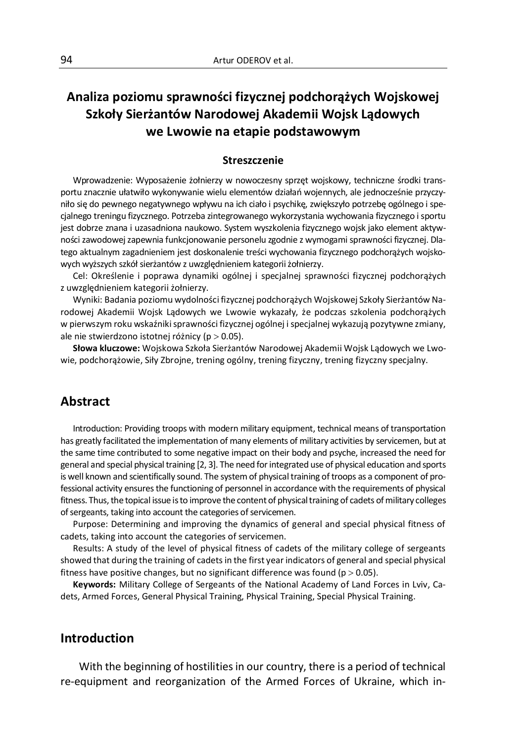# 94<br>Artur ODEROV et al.<br>**Analiza poziomu sprawności fizycznej podchorążych Wojskowej**<br>Szkoły Sierżantów Narodowej Akademii Wojsk Lądowych<br>Analiza poziontów Narodowej Akademii Wojsk Lądowych Analiza poziomu sprawności fizycznej podchorążych Wojskowej<br>Szkoły Sierżantów Narodowej Akademii Wojsk Lądowych<br>we Lwowie na etapie podstawowym<br>Streszczenie Szkoły Sierżantów Narodowej Akademii Wojsk Lądowych Artur ODEROV et al.<br> **Mushamu sprawności fizycznej podchorążych Wojskowej**<br> **rżantów Narodowej Akademii Wojsk Lądowych<br>
we Lwowie na etapie podstawowym<br>
Streszczenie<br>
posażenie żołnierzy w nowoczesny sprzęt wojskowy, techn**

#### **Streszczenie**

Wprowadzenie: Wyposażenie żołnierzy w nowoczesny sprzęt wojskowy, techniczne środki transportu znacznie ułatwiło wykonywanie wielu elementów działań wojennych, ale jednocześnie przyczyniło się do pewnego negatywnego wpływu na ich ciało i psychikę, zwiększyło potrzebę ogólnego i spe-Artur ODEROV et al.<br> **Analiza poziomu sprawności fizycznej podchorążych Wojskowej**<br> **Szkoły Sierżantów Narodowej Akademii Wojsk Lądowych<br>
we Lwowie na etapie podstawowym<br>
Streszczenie<br>
Wyrowadzenie: Wyposażenie żolnerzy w** Finaliza **poziomu sprawności fizycznej podchorążych Wojskowej**<br> **Szkoły Sierżantów Narodowej Akademii Wojsk Lądowych<br>
we Lwowie na etapie podstawowym<br>
Streszczenie<br>
Wyrowadzenie: Wyposażenie żołnierzy w nowoczesny sprzęt** ności zawodowej zapewnia funkcjonowanie personelu zgodnie z wymogami sprawności fizycznej. Dlatego aktualnym zagadnieniem jest doskonalenie treści wychowania fizycznego podchorążych wojsko-Samiliza poziomu sprawności fizycznej podchorążych Wojskow Szkoły Sierżantów Narodowej Akademii Wojsk Lądowych<br>
we Lwowie na etapie podstawowym<br>
streszczenie<br>
Wyrowadzenie: Wyposażenie żołnierzy w nowoczesny sprąt wojskowy **Analiza poziomu sprawności fizycznej podchorążych Wojskowej<br>
Szkoły Sierżantów Narodowej Akademii Wojsk Lądowych<br>
we Lwowie na etapie podstawowym<br>
Streszczenie<br>
Wyrowadzenie: Wyposażenie żołnierzy w nowoczesny sprzęt wojs** We LWOWIE na etaple podstawowym<br>
Słreszczenie<br>
Wprowadzenie: Wyposażenie zbnierzy w nowoczesny spraęt wojskowy, techniczne środki transzała z<br>
tu racznie ułatwło wykonywanie wielu elementów działał wojennych, ale jednocześ

Cel: Określenie i poprawa dynamiki ogólnej i specjalnej sprawności fizycznej podchorążych z uwzględnieniem kategorii żołnierzy.

Wyniki: Badania poziomu wydolności fizycznej podchorążych Wojskowej Szkoły Sierżantów Naw pierwszym roku wskaźniki sprawności fizycznej ogólnej i specjalnej wykazują pozytywne zmiany, ale nie stwierdzono istotnej różnicy ( $p > 0.05$ ).

wie, podchorążowie, Siły Zbrojne, trening ogólny, trening fizyczny, trening fizyczny specjalny.

# Abstract

nego treningu fizycznego. Potrzeba zintegrowanego wykorzystania wychowania fizycznego i sportu<br>
i dobrze znana i uzasadniona naukowo. System wyszkołenia fizycznego wojski jako element aktywici zawodowej zapewnia funkcjonow iest dobrze znana i uzasadniona naukowo. System wyszkolenia fizycznego wojsk jako element aktyw-<br>ności zawodowej zapewnia funkcjonowanie personelu zgolnie z wymogami sprawności fizycznej bala-<br>tego aktualnym zagadnieniem j ności zawodowej zapewnia funkcjonowanie personelu zgodnie z wymogami sprawności fizycznej, Dla-<br>tego aktualnym zagadnieniem jest doskonalenie treści wychowania fizycznego podchorążych wojsko-<br>coel: Określenie i poprawa dy tego aktualnym zagadnieniem jest doskonalenie treści wychowania fizycznego podchorążych wojskowych wyśrzych szkót sierżantów z uwzględnieniem kategorii żołnierzy.<br>
Cel: Określenie i poprawa dynamki ogólnej i specjalnej spr is well wysis sier and special primation and scientifically is special to the correct in popularion and scientifically is precisioned in the composed in the composed in the composed in the composed in the composed in the c Cel: Określenie i poprawa dynamiki ogólnej i specjalnej sprawności fizycznej podchorążych<br>
z uwzgłędnieniem kategorii żołnierzy.<br>
"Wyniki: Badania poziomu wydolności fizycznej podchorążych Wojskowej Szkoły Sierżantów Na-<br> Ether and the topical is to the topical is to improvidue the topical in the topical in providing the model of the topical in providing the production and providing the topical in the topical in the topical in the topical i Wyniki: Badania poziomu wydolności fizycznej podchorążych Wojskowej Szkoły Sierżantów Na-<br>
odowej Akademii Wojsk Lądowych we Lwowie wykazały, że podczas szkolenia podchorążych<br>
orejerwszym roku wskaźniki sprawności fizycz ilowej Akademii Wojsk Lądowych we Lwowie wykazały, że podczas szkolenia podchorążych<br>elerwszym roku wskażniki sprawności fizycznej ogólnej i specjalnej wykazują pozytywne zmiany,<br>nie stwierdzono istotnej różnicy (p> 0,05). w pierwszym roku wskaźniki sprawności fizycznej ogólnej i specjalnej wykazują pozytywne zmiany,<br>ale nie stwierdzono istotnej różnicy (p > 0.05).<br>Stow a kluczowe: Wojskowa Szkoła Sierżantów Narodowej Akademii Wojsk Lądowych nie stwierdzono istotnej różnicy (p > 0.05).<br>
Słowa kluczowe: Wojskowa Szkoła Sierżantów Narodowej Akademii Wojsk Łądowych we Lwo-<br>
podchorążowie, Sily Zbrojne, trening ogólny, trening fizyczny, trening fizyczny specjalny. Showa kluczowe: Wojskowa Szkoła Sierżantów Narodowej Akademii Wojsk Lądowych we Lwowie, podchorążowie, Siły Zbrojne, trening ogólny, trening fizyczny, trening fizyczny specjalny.<br>
Abstract<br>
Introduction: Providing troops w wie, podchorażowie, Siły Zbrojne, trening ogólny, trening fizyczny, trening fizyczny specjalny.<br> **Abstract**<br>
Introduction: Providing troops with modern military equipment, technical means of transportation<br>
has greatly fa **Instract**<br>Introduction: Providing troops with modern military equipment, technical means of transportation<br>speedty facilitated the implementation of many elements of military activities by servicemen, but at<br>same time con **Abstract**<br>
Introduction: Providing troops with modern military equipment, technical means of transportation<br>
thas greatly facilitated the impermentation of many elements of military activities by servicemen, but at<br>
the s ame time contributed to some negative impact on their body and psyche, increased the need for the additional spaces and the med for hostill known and scientifically sound. The system of physical training of troops as a com general and special physical Training (*X*, a). Ine need for integrated use or physical education and sports electional activity ensures the functioning of personnal nacordance with the requirements of physical estimals ch

#### Introduction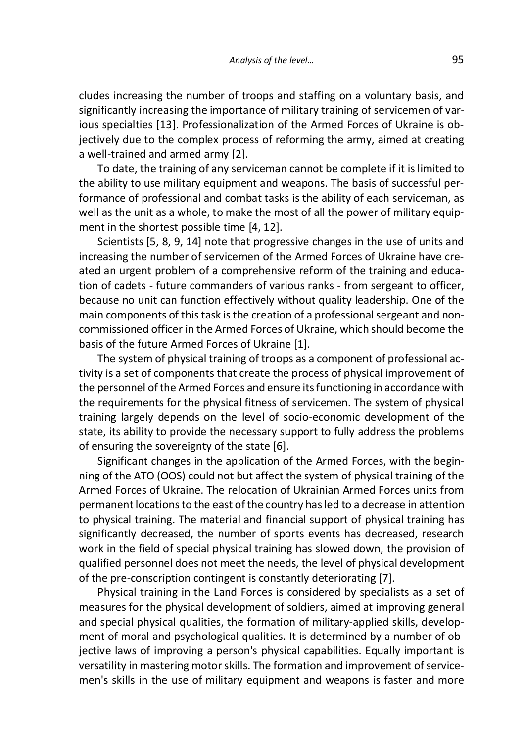Analysis of the level...<br>
95<br>
of troops and staffing on a voluntary basis, and<br>
ortance of military training of servicemen of var-<br>
collisation of the Armod Forces of Ukraine is ob Analysis of the level... 95<br>
cludes increasing the number of troops and staffing on a voluntary basis, and<br>
significantly increasing the importance of military training of servicemen of var-<br>
ious specialties [13]. Profess Analysis of the level...<br>
significantly increasing the number of troops and staffing on a voluntary basis, and<br>
significantly increasing the importance of military training of servicemen of var-<br>
ious specialties [13]. Pro Analysis of the level...<br> **Example 13**<br>
cludes increasing the number of troops and staffing on a voluntary basis, and<br>
significantly increasing the importance of military training of servicemen of var-<br>
ious specialties [1 Analysis of the level...<br> **Example 1998**<br>
Cludes increasing the number of troops and staffing on a voluntary basis, and<br>
significantly increasing the importance of military training of servicemen of var-<br>
jectively due to Analysis of the level...<br>
analysis of the level...<br>
cludes increasing the number of troops and staffing on a voluntary basis, and<br>
significantly increasing the importance of military training of servicemen of var-<br>
ious sp Analysis of the level...<br>
195<br>
les increasing the number of troops and staffing on a voluntary basis, and<br>
ificantly increasing the importance of military training of servicemen of var-<br>
specialties [13]. Professionalizati Analysis of the level... 95<br>
cludes increasing the number of troops and staffing on a voluntary basis, and<br>
significantly increasing the importance of military training of servicemen of var-<br>
ious specialties [13]. Profess Analysis of the level... 95<br>
Eludes increasing the number of troops and staffing on a voluntary basis, and<br>
significantly increasing the importance of military training of servicemen of var-<br>
ious specialties [13]. Profess Analysis of the level...<br>
95<br>
cludes increasing the number of troops and staffing on a voluntary basis, and<br>
significantly increasing the importance of military training of servicemen of var-<br>
ious specialties [13]. Profes Analysis of the level... 95<br>
cludes increasing the number of troops and staffing on a voluntary basis, and<br>
significantly increasing the importance of military training of servicemen of var-<br>
ious specialties [13]. Profess

Analysis of the level... 95<br>95<br>les increasing the number of troops and staffing on a voluntary basis, and<br>ificantly increasing the importance of military training of servicemen of var-<br>specialties [13]. Professionalization analysis of the level... 95<br>
significantly increasing the number of troops and staffing on a voluntary basis, and<br>
significantly increasing the importance of military training of servicemen of var-<br>
ious specialties [13]. analysis of the level... 95<br>
significantly increasing the number of troops and staffing on a voluntary basis, and<br>
significantly increasing the importance of military training of servicemen of var-<br>
ious specialties [13]. cludes increasing the number of troops and staffing on a voluntary basis, and<br>significantly increasing the importance of military training of servicemen of var-<br>ious specialties [13]. Professionalization of the Armed Force cludes increasing the number of troops and staffing on a voluntary basis, and<br>significantly increasing the importance of military training of servicemen of var-<br>ious specialties [13]. Professionalization of the Armed Force extend the creation of this task is the creation of the Armed Forces in the creation of the Armed Forces of Ukraine is objectively due to the complex process of reforming the army, aimed at creating a well-trained and arme basis speciality of the complex process of reforming the army, aimed a creating a well-trained and armed army [2].<br>
To date, the training of any serviceman cannot be complete if it is limited to the complex process of refo We cot one complex process or elements of the training of the complete if it is limited at elements and armed army [2]. To date, the training of any serviceman cannot be complete if it is limited to ability to use military a set of components of the above of component of the reative of the reativity to use military equipment and weapons. The basis of successful performance of professional and combat tasks is the ability of each serviceman, a The ability to use military equipment and weapons. The basis of successful performance of professional and combat tasks is the ability of each serviceman, as well as the unit as a whole, to make the most of all the power o the warre way to ask "mimary equiplent arm weapons. The wassol is accession performance of professional and combat tasks is the ability of each serviceman, as well as the unit as a whole, to make the most of all the power training the unit associate and communications of the ansists of the anti-properties well as the unit as a whole, to make the most of all the power of military equipment in the shortest possible time [4, 12].<br>
Scientists [ we are once as worker, on make the most of the Armed Forces units and the most of the necessive changes in the use of units and increasing the number of servicemen of the Armed Forces of Ukraine have cre-<br>ated an urgent pr mean in the unit of the processive changes in the use of units and increasing the number of servicemen of the Armed Forces of Ukraine have created an urgent problem of a comprehensive reform of the training and education o Scientings in the changes in the application of the Armed Forces of Ukraine have creaseing the number of servicemen of the Armed Forces of Ukraine have creed an urgent problem of a comprehensive reform of the training and

muced an urgent problem of a comprehensive reform of the training and education of cadets - future commanders of various ranks - from sergeant to officer, because no unit can function effectively without quality leadership

area are myselve the protein of excellent proteins in the diaming and causar and the relation of cadets - future commanders of various ranks - from sergeant and non-<br>bin of cadets - future commanders of various ranks - fro because no unit can function effectively without quality leadership. One of the main components of this task is the creation of a professional sergeant and non-<br>commissioned officer in the Armed Forces of Ukraine, which sh because to entire and reaction of the physical support of the pre-conscription of a professional sergeant and non-<br>commissioned officer in the Armed Forces of Ukraine, which should become the<br>basis of the future Armed Forc mumeuring that the attention of the same of the same of the number of professional section of professional ac-<br>The system of physical training of troops as a component of professional ac-<br>trivity is a set of component stha communsioncular trainer arm cannot recess of outrine, winterstored the basis of the future Armed Forces of 0 Ukraine [1]. The system of physical training of troops as a component of professional activity is a set of compon of the reaction control of the Arm of the Land Forces of physical improvement of professional activity is a set of components that create the process of physical improvement of the personnel of the Armed Forces and ensure invity is a set of components that create the process of physical improvement of the personne of the Armed Forces and ensure its functioning in accordance with the requirements for the physical fitness of servicemen. The s y as according the Armelenta tractate the plotecas or physical implovements of the Armed Forces and ensure its functioning in accordance with requirements for the physical fitness of servicemen. The system of physical inin the personnet of the physical fitness of servicemen. The system of physical fitness of servicemen. The system of physical training largely depends on the level of socio-economic development of the state, its ability to pro and the formation of the physical mathemation of the formation of the level of socio-economic development of the state, its ability to provide the necessary support to fully address the problems of ensuring the sovereignty usumm a way operato on the tector of social coconomic exceptioner or the state, its ability to provide the necessary support to fully address the problems of ensuring the sovereignty of the state [6]. Significant changes i jective laws of improving a person's physical capabilities. This discussion, the suming the sovereignty of the state [6]. Significant changes in the application of the Armed Forces, with the begin-<br>ning of the ATO (OOS) co be essenting the soveragive) on the state of the Armed Forces, with the beginning of the ATO (OOS) could not but affect the system of physical training of the Armed Forces of Ukrainie. The relocation of Ukrainian Armed For mgninate chings in the up-maturo or the Armet or the National chings of the ATO (OOS) could not but affect the system of physical training of the Armed Forces of Ukraine. The relocation of Ukrainian Armed Forces units from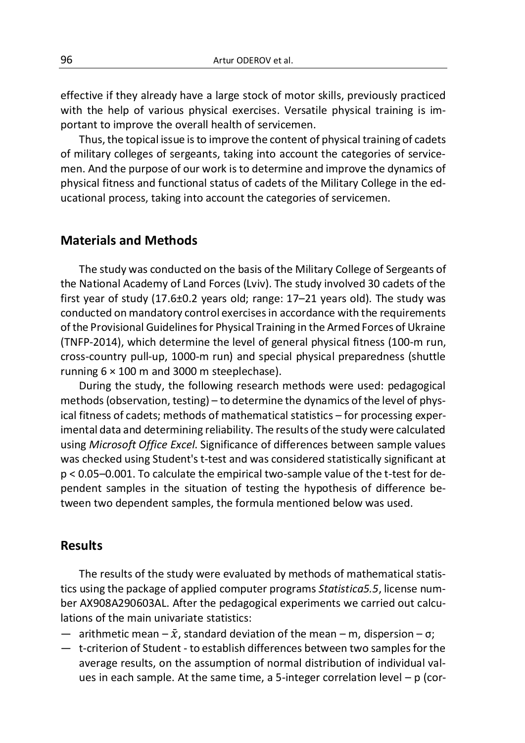96<br>
Artur ODEROV et al.<br>
effective if they already have a large stock of motor skills, previously practiced<br>
with the help of various physical exercises. Versatile physical training is im-<br>
portant to improve the overall h Artur ODEROV et al.<br>
effective if they already have a large stock of motor skills, previously practiced<br>
with the help of various physical exercises. Versatile physical training is im-<br>
portant to improve the overall healt

Artur ODEROV et al.<br>
effective if they already have a large stock of motor skills, previously practiced<br>
with the help of various physical exercises. Versatile physical training is im-<br>
portant to improve the overall healt **Exercise of the alternation of the overall health of service of the overall health of services with the help of various physical exercises. Versatile physical training is important to improve the overall health of service** Artur ODEROV et al.<br>
The topical issue is to the help of various physical exercises. Versatile physical training is im-<br>
the help of various physical exercises. Versatile physical training is im-<br>
thus, the topical issue i **Exercise of military and the military colleges of military colleges of sergeants, the help of various physical exercises. Versatile physical training is important to improve the overall health of servicemen.**<br>Thus, the to Artur ODEROV et al.<br>
effective if they already have a large stock of motor skills, previously practiced<br>
with the help of various physical exercises. Versatile physical training is im-<br>
portant to improve the overall healt **Exercise and Fitness and Fitness and Fitness and Fitness and Military colleges and Fitness and Fitness and Fitness and Fitness and Fitness and Fitness and Fitness and Fitness and Fitness of military colleges of sergeants,** Artur ODEROV et al.<br>
Effective if they already have a large stock of motor skills, previously practiced<br>
with the help of various physical exercises. Versatile physical training is im-<br>
protant to improve the overall healt Artur ODEROV et al.<br>
effective if they already have a large stock of motor skills, previously practic<br>
with the help of various physical exercises. Versatile physical training is<br>
iportant to improve the overall health of

Artur ODEROV et al.<br>
active if they already have a large stock of motor skills, previously practiced<br>
in the help of various physical exercises. Versatile physical training is im-<br>
thus, the topical issue is to improve the effective if they already have a large stock of motor skills, previously practiced<br>with the help of various physical exercises. Versatile physical training is im-<br>portant to improve the overall health of servicemen.<br>Thus, effective if they already have a large stock of motor skills, previously practiced<br>with the help of various physical exercises. Versatile physical training is im-<br>portant to improve the overall health of servicemen.<br>Thus, encetive in they already have a large stock of indiculo skins, previously placticed with the help of various physical exercises. Versatile physical training is important to improve the overall health of servicemen.<br>Thus, t wur the Provisional extractives. Versative pulscal training is im-<br>portant to improve the overall health of servicemen.<br>Thus, the topical issue is to improve the content of physical training of cadets<br>of military colleges portant to improve the overall meath to the other the content.<br>Thus, the topical issue is to improve the content of physical training of cadets<br>of military colleges of sergeants, taking into account the categories of servi rnus, the toplical size is to improve the content of physical rialing of dates<br>of military colleges of sergeants, taking into account the categories of service-<br>men. And the purpose of our work is to determine and improve or immary coneges or sergearins, arang muo account the calgones or service-<br>men. And the purpose of our work is to determine and improve the dynamics of<br>physical fitness and functional status of cadets of the Military Coll I. Anti ue puppose of our work is to determine and implioue the dynamics of<br>iscal fitness and functional status of cadets of the Military College in the ed-<br>tional process, taking into account the categories of servicemen. priysical riness and idictional status or cadets or the minitary college in the educational process, taking into account the categories of servicemen.<br> **Materials and Methods**<br>
The study was conducted on the basis of the M **Materials and Methods**<br>
The study was conducted on the basis of the Military College of Sergeants of<br>
the National Academy of Land Forces (Lviv). The study involved 30 cadets of the<br>
first year of study (17.6±0.2 years o

**Materials and Methods**<br>The study was conducted on the basis of the Military College of Sergeants of<br>the National Academy of Land Forces (Lviv). The study involved 30 cadets of the<br>first year of study (17.6:0.2 years old; **Materials and Methods**<br>The study was conducted on the basis of the Military College of Sergeants of<br>the National Academy of Land Forces (Lviv). The study involved 30 cadets of the<br>first year of study (17.6:6:2) years old Waterians and Wietrious<br>The study was conducted on the basis of the Military College of Sergeants of<br>the National Academy of Land Forces (Lviv). The study involved 30 cadets of the<br>first year of study (17.6:10.2 years old The study was conducted on the basis of the Military College of Sergeants of<br>the National Academy of Land Forces (Lviv). The study involved 30 cadets of the<br>first year of study (17.6±0.2 years old; range: 17–21 years old) Frie Staury was connected or the basis of nic reminary conego of surface in the National Academy of Land Forces (Livi). The study involved 30 cadets of the first year of study (17.6:0.2 years old; range: 17–21 years old). In the modula medal mediator of the critical schemes that the critical changes in accordance with the requirements of the Provisional Guidelines for Physical Training in the Armed Forces of Ukraine conducted on mandatory c S-country pun-up, 1000-fin run) and spectral purystical preparedness (sinutre<br>ning 6 × 100 m and 3000 m steeplechase).<br>During the study, the following research methods were used: pedagogical<br>choses of codets; methods of m The package of applied computer of the mean  $\sim$  norm and solution of stepletical methods were used: pedagogical methods (observation, testing) - to determine the dynamics of the level of phys-<br>ical fitness of cadets; met bere studies the period of the minimum in estact in lieration were used. perceptioned in the perception of the level of physical fitness of cadets; methods of mathematical statistics – for processing experimental data and mentous tonservator), testing – τo determine the dynamics of the level of the mean disper-<br>imental data and determining reliability. The results of the study were calculated<br>using *Microsoft Office Excel*. Significance of average results, on the state of normal distribution of interactions of checked using Student's t-test and was considered statistically significant at 0.05–0.001. To calculate the empirical two-sample value of the t-test f

### Results

unes in entity solution to the empirical two-sample value of the t-test for de-<br>0.05–0.001. To calculate the empirical two-sample value of the t-test for de-<br>dent samples in the situation of testing the hypothesis of diff

- 
-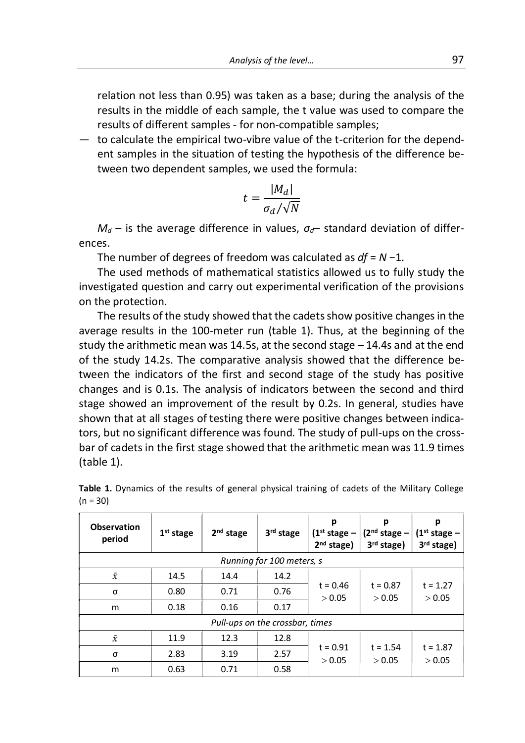Analysis of the level...<br>
97<br>
Note that the level was a base: during the analysis of the<br>
Sheample, the t value was used to compare the<br>
Sheample: for non-compatible cample: Analysis of the level... 97<br>relation not less than 0.95) was taken as a base; during the analysis of the<br>results in the middle of each sample, the t value was used to compare the<br>results of different samples - for non-comp

Analysis of the level...<br> **Analysis of the level...** 97<br>
relation not less than 0.95) was taken as a base; during the analysis of the<br>
results in the middle of each sample, the t value was used to compare the<br>
results of d **Examples 4** and the evel...<br> **Examples 4** and the evel...<br> **Examples** in the middle of each sample, the t value was used to compare the<br>
results of different samples - for non-compatible samples;<br>
— to calculate the empi Analysis of the level...<br>
relation not less than 0.95) was taken as a base; during the analysis of the<br>
results in the middle of each sample, the t value was used to compare the<br>
results of different samples - for non-com Analysis of the level...<br>
analysis of the level...<br>
relation not less than 0.95) was taken as a base; during the analysis of the<br>
results in the middle of each sample, the t value was used to compare the<br>
results of diffe Madysis of the level... 97<br>
Madysis of the level... 97<br>
Trelation not less than 0.95) was taken as a base; during the analysis of the<br>
results of different samples - for non-compatible samples;<br>
to calculate the empirical

$$
t = \frac{|M_d|}{\sigma_d / \sqrt{N}}
$$

ences.

Martysis of the level... 97<br>
Trelation not less than 0.95) was taken as a base; during the analysis of the<br>
results in the middle of each sample, the t value was used to compare the<br>
results of different samples - for non

relation not less than 0.95) was taken as a base; during the analysis of the<br>results in the middle of each sample, the t value was used to compare the<br>results of different samples - for non-compatible samples;<br>— to calcul relation not less than 0.95) was taken as a base; during the and results in the middle of each sample, the t value was used to results of different samples - for non-compatible samples;<br>
- to calculate the empirical two-v Eresults in the middle of each sample, the t value was used to compare the<br>results in the middle of each sample, the t value was used to compare the<br>results of different samples - for non-compatible samples;<br>to calculate results of different samples - for non-compatible samples;<br>
- to calculate the empirical two-vibre value of the t-criterion for the depend-<br>
ent samples in the situation of testing the hypothesis of the difference be-<br>
tw studiate the empirical two-vibre value of the t-criterion for the dependent samples in the situation of testing the hypothesis of the difference between two dependent samples, we used the formula:<br>  $t = \frac{|M_d|}{\sigma_d/\sqrt{N}}$ <br>  $M$ or extracted the empletion of the study the studies of the difference be-<br>tween two dependent samples, we used the formula:<br> $t = \frac{|M_d|}{\sigma_d/\sqrt{N}}$ <br> $M_d$  – is the average difference in values,  $\sigma_d$ – standard deviation of diff tween two dependent samples, we used the formula:<br>  $t = \frac{|M_d|}{\sigma_d/\sqrt{N}}$ <br>  $M_d$  – is the average difference in values,  $\sigma_d$  – standard deviation of differ-<br>
ences.<br>
The number of degrees of freedom was calculated as  $df = N - 1$  $M_d$  – is the average difference in values,  $\sigma_d$ - standard deviation of differences.<br>The number of degrees of freedom was calculated as  $df = N - 1$ .<br>The used methods of mathematical statistics allowed us to fully study the  $t = \frac{|M_d|}{\sigma_d/\sqrt{N}}$ <br>  $M_d$  – is the average difference in values,  $\sigma_d$ – standard deviation of differences.<br>
The number of degrees of freedom was calculated as  $df = N - 1$ .<br>
The used methods of mathematical statistics allowed  $M_d$  – is the average difference in values,  $\sigma_d$  – standard deviation of differences.<br>The number of degrees of freedom was calculated as  $df = N - 1$ .<br>The used methods of mathematical statistics allowed us to fully study the  $M_d$  – is the average difference in values,  $\sigma_d$  – standard deviation of differences.<br>The number of degrees of freedom was calculated as  $df = N - 1$ .<br>The used methods of mathematical statistics allowed us to fully study the bare of calets of cadets of reacting the means, the minimism of the means.<br>The number of degrees of freedom was calculated as  $df = N - 1$ .<br>The used methods of mathematical statistics allowed us to fully study the<br>investigate The number of degrees of freedom was calculated as  $df = N - 1$ <br>The used methods of mathematical statistics allowed us to finvestigated question and carry out experimental verification of t<br>on the protection.<br>The results of t In us use on methods or mathematical statistics allowed us to rully study the<br>investigated question and carry out experimental verification of the provisions<br>on the protection.<br>The results of the study showed that the cad investigated question and carry out experimental verification of<br>on the protection.<br>The results of the study showed that the cadets show positive<br>average results in the 100-meter run (table 1). Thus, at the b<br>study the ar in the 100-meter run (table 1). Thus, at the beginning of the tic mean was 14.5s, at the second stage - 14.4s and at the end<br>s. The comparative analysis showed that the difference be-<br>tors of the first and second stage of

| tween the indicators of the first and second stage of the study has positive<br>changes and is 0.1s. The analysis of indicators between the second and third<br>stage showed an improvement of the result by 0.2s. In general, studies have<br>shown that at all stages of testing there were positive changes between indica-<br>tors, but no significant difference was found. The study of pull-ups on the cross- |             |                       |                                 |                                               |                                               |                                               |
|----------------------------------------------------------------------------------------------------------------------------------------------------------------------------------------------------------------------------------------------------------------------------------------------------------------------------------------------------------------------------------------------------------------------|-------------|-----------------------|---------------------------------|-----------------------------------------------|-----------------------------------------------|-----------------------------------------------|
| bar of cadets in the first stage showed that the arithmetic mean was 11.9 times<br>(table 1).                                                                                                                                                                                                                                                                                                                        |             |                       |                                 |                                               |                                               |                                               |
| Table 1. Dynamics of the results of general physical training of cadets of the Military College<br>$(n = 30)$                                                                                                                                                                                                                                                                                                        |             |                       |                                 |                                               |                                               |                                               |
| <b>Observation</b><br>period                                                                                                                                                                                                                                                                                                                                                                                         | $1st$ stage | 2 <sup>nd</sup> stage | 3 <sup>rd</sup> stage           | р<br>$(1st stage -$<br>2 <sup>nd</sup> stage) | p<br>$(2nd stage -$<br>3 <sup>rd</sup> stage) | р<br>$(1st stage -$<br>3 <sup>rd</sup> stage) |
|                                                                                                                                                                                                                                                                                                                                                                                                                      |             |                       | Running for 100 meters, s       |                                               |                                               |                                               |
| $\bar{\chi}$                                                                                                                                                                                                                                                                                                                                                                                                         | 14.5        | 14.4                  | 14.2                            |                                               |                                               |                                               |
| σ                                                                                                                                                                                                                                                                                                                                                                                                                    | 0.80        | 0.71                  | 0.76                            | $t = 0.46$                                    | $t = 0.87$<br>> 0.05                          | $t = 1.27$<br>> 0.05                          |
| m                                                                                                                                                                                                                                                                                                                                                                                                                    | 0.18        | 0.16                  | 0.17                            | > 0.05                                        |                                               |                                               |
|                                                                                                                                                                                                                                                                                                                                                                                                                      |             |                       | Pull-ups on the crossbar, times |                                               |                                               |                                               |
| $\bar{\chi}$                                                                                                                                                                                                                                                                                                                                                                                                         | 11.9        | 12.3                  | 12.8                            |                                               |                                               |                                               |
| $\sigma$                                                                                                                                                                                                                                                                                                                                                                                                             | 2.83        | 3.19                  | 2.57                            | $t = 0.91$                                    | $t = 1.54$                                    | $t = 1.87$                                    |
|                                                                                                                                                                                                                                                                                                                                                                                                                      | 0.63        | 0.71                  | 0.58                            | > 0.05                                        | > 0.05                                        | > 0.05                                        |

|            | Table 1. Dynamics of the results of general physical training of cadets of the Military College |  |  |  |  |  |  |
|------------|-------------------------------------------------------------------------------------------------|--|--|--|--|--|--|
| $(n = 30)$ |                                                                                                 |  |  |  |  |  |  |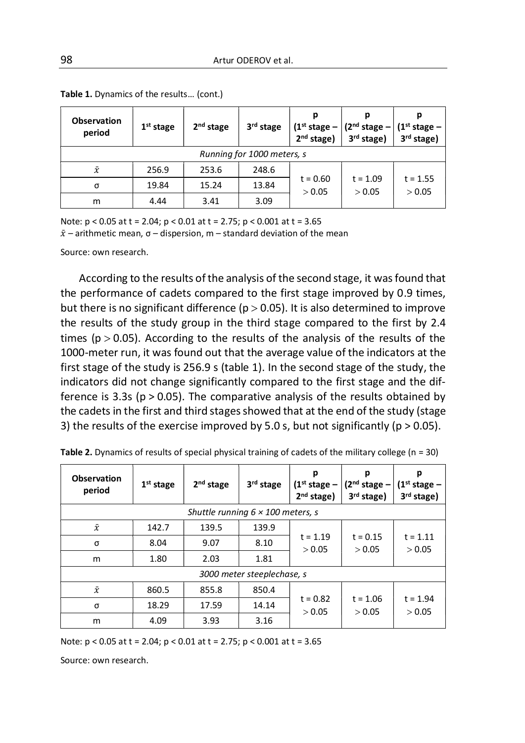| 98                                                                                                                                                                        |             |                                                                                 | Artur ODEROV et al.        |                                               |                                               |                                   |
|---------------------------------------------------------------------------------------------------------------------------------------------------------------------------|-------------|---------------------------------------------------------------------------------|----------------------------|-----------------------------------------------|-----------------------------------------------|-----------------------------------|
| Table 1. Dynamics of the results (cont.)                                                                                                                                  |             |                                                                                 |                            |                                               |                                               |                                   |
| <b>Observation</b><br>period                                                                                                                                              | $1st$ stage | 2 <sup>nd</sup> stage                                                           | 3 <sup>rd</sup> stage      | р<br>$(1st stage -$<br>2 <sup>nd</sup> stage) | p<br>$(2nd stage -$<br>3 <sup>rd</sup> stage) | p<br>$(1st stage -$<br>3rd stage) |
|                                                                                                                                                                           |             |                                                                                 | Running for 1000 meters, s |                                               |                                               |                                   |
| $\bar{\chi}$                                                                                                                                                              | 256.9       | 253.6                                                                           | 248.6                      |                                               | $t = 1.09$<br>> 0.05                          | $t = 1.55$<br>$>0.05$             |
| σ                                                                                                                                                                         | 19.84       | 15.24                                                                           | 13.84                      | $t = 0.60$<br>> 0.05                          |                                               |                                   |
| m                                                                                                                                                                         | 4.44        | 3.41                                                                            | 3.09                       |                                               |                                               |                                   |
|                                                                                                                                                                           |             |                                                                                 |                            |                                               |                                               |                                   |
| Note: $p < 0.05$ at t = 2.04; $p < 0.01$ at t = 2.75; $p < 0.001$ at t = 3.65<br>$\bar{x}$ – arithmetic mean, $\sigma$ – dispersion, m – standard deviation of the mean   |             |                                                                                 |                            |                                               |                                               |                                   |
| Source: own research.                                                                                                                                                     |             |                                                                                 |                            |                                               |                                               |                                   |
|                                                                                                                                                                           |             |                                                                                 |                            |                                               |                                               |                                   |
|                                                                                                                                                                           |             | According to the results of the analysis of the second stage, it was found that |                            |                                               |                                               |                                   |
| the performance of cadets compared to the first stage improved by 0.9 times,                                                                                              |             |                                                                                 |                            |                                               |                                               |                                   |
| but there is no significant difference ( $p > 0.05$ ). It is also determined to improve<br>the results of the study group in the third stage compared to the first by 2.4 |             |                                                                                 |                            |                                               |                                               |                                   |
| times ( $p > 0.05$ ). According to the results of the analysis of the results of the                                                                                      |             |                                                                                 |                            |                                               |                                               |                                   |
| 1000-meter run, it was found out that the average value of the indicators at the                                                                                          |             |                                                                                 |                            |                                               |                                               |                                   |

**Table 1.** Dynamics of the results... (cont.)<br> **Observation**<br> **probase of the results...** (cont.)<br> **example is no significant difference (1.4 stage and 1.9 stage)**<br> **example is no significant difference** (1.000 meters, s<br> **Observation**<br> **Period**<br> **Example 14 stage**<br> **Example 14 stage**<br> **Example 1000** meters, s<br> **Example 1000** meters, s<br> **Example 1000** meters, s<br> **Example 1000** meters, s<br> **Example 15.24**<br> **Example 16.24**<br> **Example 16.24**<br> **Example 12.**  $\frac{1}{2}$  and  $\frac{1}{3}$  and  $\frac{1}{3}$  and  $\frac{1}{3}$  and  $\frac{1}{3}$  and  $\frac{1}{3}$  and  $\frac{1}{3}$  and  $\frac{1}{3}$  and  $\frac{1}{3}$  and  $\frac{1}{3}$  and  $\frac{1}{3}$  and  $\frac{1}{3}$  and  $\frac{1}{3}$  and  $\frac{1}{3}$  and  $\frac{1}{3}$  a **Example 100** meters s<br> **Example 1000 meters s**<br> **Example 1000 meters in the average value of the 1.09**<br> **Example 1.524** 1.3.24 1.3.84 the 0.60 the 1.09 the 1.55<br> **INDE:**  $p < 0.05$  at the 2.04;  $p < 0.01$  at the 2.75;  $p <$ **Example 1000** meters, s<br> **Example 1000** meters, s<br> **Example 10.60** t = 1.09<br> **Example 10.60** s (the stage of the study, p  $\frac{1}{2}$ . In the state of the study, p  $\frac{1}{2}$ . In the study,  $\frac{1}{2}$ . In the second stage, i indicators did not change significantly compared to the first stage and the dif-**FERD 19.84** 15.24 13.84 16.00 16.1 18.84 16.00 16.1 16.00 16.1 16.00 16.1 16.135<br>
Note:  $p \le 0.05$  at t = 2.04;  $p \le 0.01$  at t = 2.75;  $p \le 0.001$  at t = 3.65<br>  $\bar{x}$  - arithmetic mean,  $q = -1$  dispersion,  $m =$  standard m a.4.44 3.41 3.09 2.000 2.000 2.000 2.000 2.000 2.000 2.000 2.000 2.000 2.000 2.000 2.000 2.000 2.000 2.000 2.000 2.000 2.000 2.000 2.000 2.000 2.000 2.000 2.000 2.000 2.000 2.000 2.000 2.000 2.000 2.000 2.000 2.000 2.00 Note:  $p < 0.05$  at  $t = 2.04$ ;  $p < 0.01$  at  $t = 2.75$ ;  $p < 0.001$  at  $t = 3.65$ <br>  $\bar{x}$  – arithmetic mean,  $\sigma$  – dispersion, m – standard deviation of the mean<br>
Source: own research.<br>
According to the results of the analys **Example 2.** Dynamics of the results of the analysis of the second stage, it was found that<br>
the performance of cadets compared to the first stage improved by 0.9 times,<br>
that the performance of cadets compared to the fir he results of the analysis of the second stage, it was found that<br>of cadets compared to the first stage improved by 0.9 times,<br>minicant difference (p> 0.05). It is also determined to improve<br>study group in the third stage

| the results of the study group in the third stage compared to the first by 2.4                       |                       |                                          |                            |                                               |                                                         |                                               |
|------------------------------------------------------------------------------------------------------|-----------------------|------------------------------------------|----------------------------|-----------------------------------------------|---------------------------------------------------------|-----------------------------------------------|
| times ( $p > 0.05$ ). According to the results of the analysis of the results of the                 |                       |                                          |                            |                                               |                                                         |                                               |
| 1000-meter run, it was found out that the average value of the indicators at the                     |                       |                                          |                            |                                               |                                                         |                                               |
| first stage of the study is 256.9 s (table 1). In the second stage of the study, the                 |                       |                                          |                            |                                               |                                                         |                                               |
| indicators did not change significantly compared to the first stage and the dif-                     |                       |                                          |                            |                                               |                                                         |                                               |
| ference is 3.3s ( $p > 0.05$ ). The comparative analysis of the results obtained by                  |                       |                                          |                            |                                               |                                                         |                                               |
| the cadets in the first and third stages showed that at the end of the study (stage                  |                       |                                          |                            |                                               |                                                         |                                               |
| 3) the results of the exercise improved by 5.0 s, but not significantly ( $p > 0.05$ ).              |                       |                                          |                            |                                               |                                                         |                                               |
| Table 2. Dynamics of results of special physical training of cadets of the military college (n = 30) |                       |                                          |                            |                                               |                                                         |                                               |
| <b>Observation</b><br>period                                                                         | 1 <sup>st</sup> stage | 2 <sup>nd</sup> stage                    | 3rd stage                  | p<br>$(1st stage -$<br>2 <sup>nd</sup> stage) | p<br>(2 <sup>nd</sup> stage –<br>3 <sup>rd</sup> stage) | р<br>$(1st stage -$<br>3 <sup>rd</sup> stage) |
|                                                                                                      |                       | Shuttle running $6 \times 100$ meters, s |                            |                                               |                                                         |                                               |
| $\bar{\chi}$                                                                                         | 142.7                 | 139.5                                    | 139.9                      | $t = 1.19$<br>> 0.05                          | $t = 0.15$<br>> 0.05                                    | $t = 1.11$<br>> 0.05                          |
| σ                                                                                                    | 8.04                  | 9.07                                     | 8.10                       |                                               |                                                         |                                               |
| m                                                                                                    | 1.80                  | 2.03                                     | 1.81                       |                                               |                                                         |                                               |
|                                                                                                      |                       |                                          | 3000 meter steeplechase, s |                                               |                                                         |                                               |
| $\bar{\chi}$                                                                                         | 860.5                 | 855.8                                    | 850.4                      |                                               |                                                         | $t = 1.94$<br>> 0.05                          |
| σ                                                                                                    | 18.29                 | 17.59                                    | 14.14                      | $t = 0.82$<br>> 0.05                          | $t = 1.06$<br>> 0.05                                    |                                               |
| m                                                                                                    | 4.09                  | 3.93                                     | 3.16                       |                                               |                                                         |                                               |
| Note: $p < 0.05$ at t = 2.04; $p < 0.01$ at t = 2.75; $p < 0.001$ at t = 3.65                        |                       |                                          |                            |                                               |                                                         |                                               |
| Source: own research.                                                                                |                       |                                          |                            |                                               |                                                         |                                               |
|                                                                                                      |                       |                                          |                            |                                               |                                                         |                                               |
|                                                                                                      |                       |                                          |                            |                                               |                                                         |                                               |
|                                                                                                      |                       |                                          |                            |                                               |                                                         |                                               |
|                                                                                                      |                       |                                          |                            |                                               |                                                         |                                               |
|                                                                                                      |                       |                                          |                            |                                               |                                                         |                                               |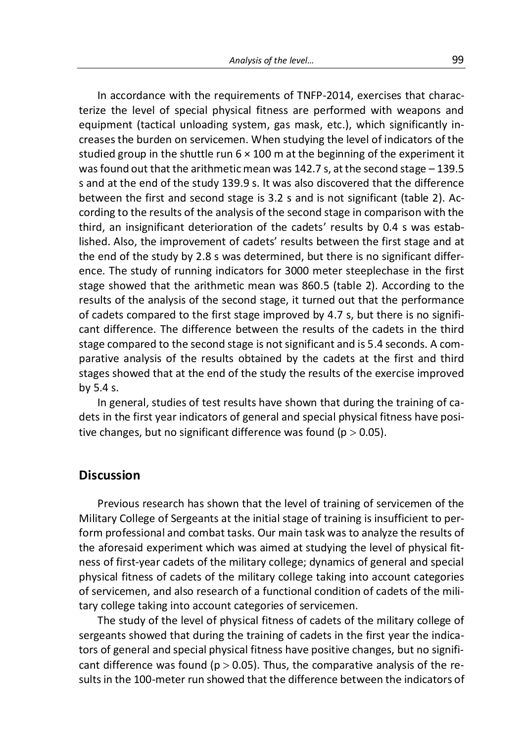Analysis of the level...<br>
99<br>
uirements of TNFP-2014, exercises that charac-<br>
sical fitness are performed with weapons and<br>
system are mask ats) which significantly in Analysis of the level... 99<br>In accordance with the requirements of TNFP-2014, exercises that charac-<br>ree the level of special physical fitness are performed with weapons and<br>ipment (tactical unloading system, gas mask, et Analysis of the level...<br>In accordance with the requirements of TNFP-2014, exercises that charac-<br>terize the level of special physical fitness are performed with weapons and<br>equipment (tactical unloading system, gas mask, Analysis of the level...<br>
In accordance with the requirements of TNFP-2014, exercises that charac-<br>
terize the level of special physical fitness are performed with weapons and<br>
equipment (tactical unloading system, gas ma Analysis of the level... 99<br>In accordance with the requirements of TNFP-2014, exercises that charac-<br>terize the level of special physical fitness are performed with weapons and<br>equipment (tactical unloading system, gas ma Analysis of the level... 99<br>In accordance with the requirements of TNFP-2014, exercises that charac-<br>terize the level of special physical fitness are performed with weapons and<br>equipment (tactical unloading system, gas ma Analysis of the level... 99<br>In accordance with the requirements of TNFP-2014, exercises that charac-<br>terize the level of special physical fitness are performed with weapons and<br>equipment (tactical unloading system, gas mas Analysis of the level... 99<br>In accordance with the requirements of TNFP-2014, exercises that charac-<br>terize the level of special physical fitness are performed with weapons and<br>equipment (tactical unloading system, gas ma Analysis of the level... 99<br>In accordance with the requirements of TNFP-2014, exercises that charac-<br>terize the level of special physical fitness are performed with weapons and<br>equipment (tactical unloading system, gas mas Analysis of the level... 99<br>
In accordance with the requirements of TNFP-2014, exercises that charac-<br>
terize the level of special physical fitness are performed with weapons and<br>
equipment (tactical unloading system, gas Analysis of the level... 99<br>
In accordance with the requirements of TNFP-2014, exercises that charac-<br>
terize the level of special physical fitness are performed with weapons and<br>
equipment (tactical unolading system, gas Analysis of the level... 99<br>
In accordance with the requirements of TNFP-2014, exercises that charac-<br>
terize the level of special physical fitness are performed with weapons and<br>
equipment (tactical unloading system, gas analysis of the level... 99<br>
In accordance with the requirements of TNFP-2014, exercises that charac-<br>
terize the level of special physical fitness are performed with weapons and<br>
equipment (tactical unloading system, gas Analysis of the level... 99<br>
In accordance with the requirements of TNFP-2014, exercises that charac-<br>
terize the level of special physical fitness are performed with weapons and<br>
equipment (tactical unloading system, gas In accordance with the requirements of TNFP-2014, exercises that characterize the level of special physical fitness are performed with veapons and equipment (tactical unloading system, gas mask, etc.), which significantly In accordance with the requirements of TNFP-2014, exercises that characterize the level of special physical fitness are performed with weapons and equipment (tactical unloading system, gas mask, etc.), which significantly in cuccion the requirement of contrivers of the results of the results and calculated graphent (tactical unloading system, gas mask, etc.), which significantly increases the burden on servicemen. When studying the level o canter the correlation and that the arithmetic means of the priminal of the exercise in the cadets showed that the exercise the between on servicemen. When studying the level of indicators of the studied group in the shut expensive (userect unomany system, gas muss, e.e.,, wind significant represes the burden on servicemen. When studying the level of indicators of the studied group in the shuttle run  $6 \times 100$  m at the beginning of the exp by the results of the ration of substraction. Which such that the results of the experiment it was found out that the arithmetic mean was 142.7 s, at the second stage  $-139.5$  s and at the end of the study 139.9 s. It was statute group in the study variables and of the study of the end of the study 139.9 s. It was also discovered that the difference between the first and second stage is 3.2 s and is not significant (table 2). According to was located that the antemperate the antemperations and at the end of the study 139.9 s. It was also discovered the between the first and second stage is 3.2 s and is not signific cording to the results of the analysis of a curve study 120.3.3. In was also cused to the curve showed that the uncertaint of the end of the analysis of the second stage in comparison with the d, an insignificant deterioration of the cadets' results by 0.4 s was e becomed the mass and secure of details of the second stage in comparison with the third, an insignificant deterioration of the cadets' results by 0.4 s was established. Also, the improvement of cadets' results between the e sinver unit the annument firear was soor. Clearly the gerbond that the performance<br>adets compared to the first stage improved by 4.7 s, but there is no signifi-<br>difference. The difference between the results of the cadet Frequisity of the analysis of the section stage, it turned out that the performance of cadets compared to the first stage improved by 4.7 s, but there is no significant difference. The difference between the results of the

tive changes, but no significant difference was found ( $p > 0.05$ ).

#### **Discussion**

or coates compleved to the mist stage imploved by 4.7, sourt there is no significant difference. The difference between the results of the cadets in the third stage compared to the second stage is not significant and is 5. East univertine. The univertial the second stage is not significant and is 5.4 seconds. A com-<br>parative analysis of the results obtained by the cadets at the first and third<br>stages showed that at the end of the study the r stage compute our second stage is not signing and and sise are the military college of the military college is the first year in general, studies of test results have shown that during the training of ca-<br>In general, studi pharatore anarysis or the ressures other attention of the study the results of the exercise improved<br>by 5.4 s.<br>In general, studies of test results have shown that during the training of ca-<br>dets in the first year indicator stays showed und at the end of the study the results of the exertise improved<br>by 5.4 s.<br>In general, studies of test results have shown that during the training of ca-<br>dets in the first year indicators of general and specia by 3.45<br>In general, studies of test results have shown that during the training of ca-<br>dets in the first year indicators of general and special physical fitness have posi-<br>tive changes, but no significant difference was fo In general, studies of test results have shown that during the training of ca-<br>in the first year indicators of general and special physical fitness have posi-<br>changes, but no significant difference was found ( $p > 0.05$ ).<br> sets in the inst year indicators or general and spectar physical nutless have posi-<br>tive changes, but no significant difference was found (p > 0.05).<br>**Discussion**<br>Previous research has shown that the level of training of s the changes, but no signincant dimerence was lound  $(p > 0.05)$ .<br> **Discussion**<br>
Previous research has shown that the level of training is insufficient to per-<br>
form professional and combat tasks. Our main task was to analyz **Discussion**<br>Previous research has shown that the level of training of servicemen of the<br>Military College of Sergeants at the initial stage of training is insufficient to per-<br>form professional and combat tasks. Our main **Discussion**<br>Previous research has shown that the level of training of servicemen of the<br>Military College of Sergeants at the initial stage of training is insufficient to per-<br>form professional and combat tasks. Our main t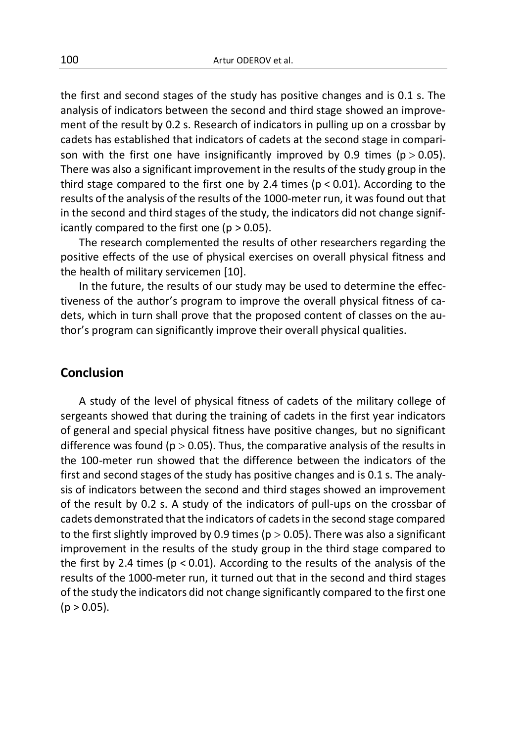Artur ODEROV et al.<br>
the first and second stages of the study has positive changes and is 0.1 s. The<br>
analysis of indicators between the second and third stage showed an improve-<br>
ment of the result by 0.2 s. Research of i 100 Artur ODEROV et al.<br>
the first and second stages of the study has positive changes and is 0.1 s. The<br>
analysis of indicators between the second and third stage showed an improve-<br>
ment of the result by 0.2 s. Research analysis of indicators between the study has positive changes and is 0.1 s. The<br>analysis of indicators between the second and third stage showed an improve-<br>ment of the result by 0.2 s. Research of indicators in pulling u 100<br>
Artur ODEROV et al.<br>
the first and second stages of the study has positive changes and is 0.1 s. The<br>
analysis of indicators between the second and third stage showed an improve-<br>
ment of the result by 0.2 s. Researc 100<br>
Artur ODEROV et al.<br>
the first and second stages of the study has positive changes and is 0.1 s. The<br>
analysis of indicators between the second and third stage showed an improve-<br>
ment of the result by 0.2 s. Researc Artur ODEROV et al.<br>
the first and second stages of the study has positive changes and is 0.1 s. The<br>
analysis of indicators between the second and third stage showed an improve-<br>
ment of the result by 0.2 s. Research of 100 Artur ODEROV et al.<br>
the first and second stages of the study has positive changes and is 0.1 s. The<br>
analysis of indicators between the second and third stage showed an improve-<br>
ment of the result by 0.2 s. Research 100<br>
Artur ODEROV et al.<br>
the first and second stages of the study has positive changes and is 0.1 s. The<br>
analysis of indicators between the second and third stage showed an improve-<br>
ment of the result by 0.2 s. Researc 100 **Accomo** Actur ODEROV et al.<br>
the first and second stages of the study has positive changes and is 0.1 s. The<br>
analysis of indicators between the second and third stage showed an improve-<br>
ment of the result by 0.2 s. Artur ODEROV et al.<br>
the first and second stages of the study has positive changes and is 0.1 s. The<br>
analysis of indicators between the second and third stage showed an improve-<br>
ment of the result by 0.2 s. Research of icantly compared to the first one ( $p > 0.05$ ). Artur ODEROV et al.<br>
first and second stages of the study has positive changes and is 0.1 s. The<br>
lysis of indicators between the second and third stage showed an improve-<br>
to f the result by 0.2 s. Research of indicators 100<br>
2000 Artur ODEROV et al.<br>
the first and second stages of the study has positive changes and is 0.1 s. The<br>
analysis of indicators between the second and third stage showed an improve-<br>
ment of the result by 0.2 s. Re 100 **Antur ODEROV** et al.<br>
the first and second stages of the study has positive changes and is 0.1 s. The<br>
analysis of indicators between the second and third stage showed an improve-<br>
ment of the result by 0.2 s. Resea first and second stages of the study has positive changes and is 0.1 s. The<br>ylsis of indicators between the second and third stage showed an improve-<br>tt of the result by 0.2 s. Research of indicators in pulling up on a cr the first and second stages of the study has positive changes and is 0.1 s. The<br>analysis of indicators between the second and third stage showed an improve-<br>ment of the result by 0.2 s. Research of indicators in pulling u et more that in the first one provided that indicators of indicators between the second and third stage showed an improvement of the result by 0.2 s. Research of indicators in pulling up on a crossbar by cadets has establi thorthology is much the result by 0.2 s. Research of indicators in pulling up on a crossbar by cadets has established that indicators of cadets at the second stage in comparison with the first one have insignificantly impr

## Conclusion

a stage compared to the linst of the y 2.4 then g N -0.01, According to the study of the malysis of the results of the 1000-meter run, it was found out that he second and third stages of the study, the indicators did not c Freshins to the environment of the training of cadets in the direct showed that the direct showed that the during the research complemented the results of other researchers regarding the positive effects of the use of phy In the second and nura stages on the study, the initiatios dual of change signi-<br>icantly compared to the first one (p > 0.05).<br>The research complemented the results of other researchers regarding the<br>positive effects of th The research complemented the results of other researchers regarding the positive effects of the use of physical exercises on overall physical fitness and the health of military servicemen [10].<br>
In the future, the result The research complemented ure resolute resolute researches regarding the health of military servicemen [10].<br>
In the future, the results of our study may be used to determine the effec-<br>
tiveness of the author's program to positive enters of the the stage in physical exerts of overall physical mitess and<br>the health of military servicemen [10].<br>In the future, the results of our study may be used to determine the effec-<br>tiveness of the author show the measure of the second and third stages on a stage of the first slightly improvement in the results of our study may be used to determine the effectiveness of the author's program to improve their overall physical If the transis of the south study imay be used to determine the enter-<br>theness of the author's program to improve the overall physical differes of ca-<br>dets, which in turn shall prove that the proposed content of classes o were so the author is plot and the improvement of classes on the and prove that prove the the proposed content of classes on the author's program can significantly improve their overall physical qualities.<br> **Conclusion**<br> the first slightly improve their state of the military college of the state solution's program can significantly improve their overall physical qualities.<br> **Conclusion**<br>
A study of the level of physical fitness of cadets o **Conclusion**<br>
A study of the level of physical fitness of cadets of the military college of<br>
sergeants showed that during the training of cadets in the first year indicators<br>
of general and special physical fitness have p **Conclusion**<br>A study of the level of physical fitness of cadets of the military college of sergeants showed that during the training of cadets in the first year indicators of general and special physical fitness have posi **Conclusion**<br>A study of the level of physical fitness of cadets of the military college of sergeants showed that during the training of cadets in the first year indicators of general and special physical fitness have posi **Such the study of the level of physical fitness of cadets of the military college of sepread is showed that during the training of cadets in the first year indicators of general and special physical fitness have positive** A study of the level of physical fitness of cadets of the mi<br>sergeants showed that during the training of cadets in the first<br>of general and special physical fitness have positive changes, but<br>difference was found ( $p > 0.$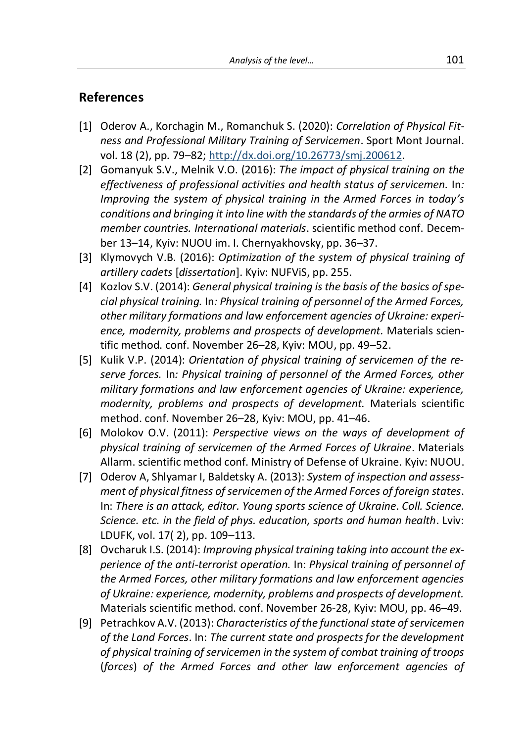# References

- Analysis of the level… 101 Analysis of the level...<br> **References**<br>
[1] Oderov A., Korchagin M., Romanchuk S. (2020): *Correlation of Physical Fit-<br>
ness and Professional Military Training of Servicemen. Sport Mont Journal.<br>
vol. 18 (2), pp. 79–82; <u>*</u>
- Analysis of the level...<br> **nerences**<br>
Oderov A., Korchagin M., Romanchuk S. (2020): *Correlation of Physical Fit-*<br>
ness and Professional Military Training of Servicemen. Sport Mont Journal.<br>
vol. 18 (2), pp. 79–82; <u>http:</u> Analysis of the level...<br> **References**<br>
[1] Oderov A., Korchagin M., Romanchuk S. (2020): *Correlation of Physical Fit-<br>
ness and Professional Military Training of Servicemen*. Sport Mont Journal.<br>
vol. 18 (2), pp. 79–82; Analysis of the level...<br> **Exercises of the languary of the level...**<br> **Oderov** A., Korchagin M., Romanchuk S. (2020): *Correlation of Physical Fit-*<br>
ness and Professional Military Training of Servicemen. Sport Mont Journ Analysis of the level...<br> **Exercises**<br> **Exercises and Professional Military Training of Servicemen. Sport Mont Journal.**<br>
Improving the Professional Military Training of Servicemen. Sport Mont Journal.<br>
Joul. 18 (2), pp. 7 Analysis of the level... 101<br> **Conditions and Professional M., Romanchuk S. (2020):** *Correlation of Physical Fit-<br>
ness and Professional Military Training of Servicemen. Sport Mont Journal.*<br>
vol. 18 (2), pp. 79–82; <u>http</u> Analysis of the level...<br> **Solution**<br> **Solution**<br> **Oderov** A., Korchagin M., Romanchuk S. (2020): *Correlation of Physical Fit-*<br>
ness and Professional Military Training of Servicemen. Sport Mont Journal.<br>
Sol. 18 (2), pp. Analysis of the level... 101<br> **Subset 13–14, Analysis of the level...** 101<br>
Oderov A., Korchagin M., Romanchuk S. (2020): *Correlation of Physical Fit-<br>
ness and Professional Military Training of Servicemen. Sport Mont Jou* Analysis of the level... 1011<br> **References**<br>
11) Oderov A., Korchagin M., Romanchuk S. (2020): Correlation of Physical Fit-<br>
ness and Professional Military Training of Servicemen. Sport Mont Journal.<br>
12) Comanyuk S.v., M Analysis of the level... 101<br>
artences<br>
Oderov A., Korchagin M., Romanchuk S. (2020): Correlation of Physical Fit-<br>
ness and Professional Military Training of Servicerens. Sport Mont Journal.<br>
vol. 18 (2), pp. 79–82; http: **Example 19 Alternates**<br> **References**<br>
(1) Oderov A., Korchagin M., Romanchuk S. (2020): Correlation of Physical Fit-<br>
ness and Professional Military Training of Servicemen. Sport Mont Journal.<br>
vol. 18 (2), pp. 79–82; htt **erences**<br> **Oderov** A., Korchagin M., Romanchuk S. (2020): *Correlation of Physical Fit-ness and Professional Military Training of Servicemen. Sport Mont Journal.<br>
vol. 18 (2), pp. 79–82; <u>http://dx.doi.org/10.26773/smi.20*</u> **erences**<br>
Oderov A., Korchagin M., Romanchuk S. (2020): *Correlation of Physical Fit-*<br>
ness and Professional Military Training of Servicemen. Sport Mont Journal.<br>
vol. 18 (2), pp. 79–82; <u>http://dx.doi.org/10.26773/smj.2</u> Oderov A., Korchagin M., Romanchuk S. (2020): Correlation of Physical Fit-<br>ness and Professional Military Training of Servicemen. Sport Mont Journal.<br>vol. 18 (2), pp. 79–82; <u>http://dx.doi.org/10.26773/smi.200612</u>.<br>Gomanyu Ouclever, Roteingin Wir, Normaticus 3. (2020): Centrolation of *Tripsical Transmass and Professional Military Training of Sevicemen.* Sport Mont Journal.<br>
vol. 18 (2), pp. 79–82; http://dx.doi.org/10.26773/smj.200612.<br>
Gom ness and Professional Military Training of Servicemen. Sport Mont Journal.<br>
19. I Somanyuk S.V., Nelnik V.O. (2016):  $T\mu$  impact of physical training on the<br>
19. Comanyuk S.V., Nelnik V.O. (2016):  $T\mu$  impact of physical vol. 18 (2), pp. 79–82; <u>http://dx.doi.org/10.26773/smj.200612</u>.<br>Gomanyuk S.V., Melnik V.O. (2016): *The impact of physical training on the* effectiveness of professional activities and health status of servicemen. In:<br>eff Gomanyuk S.V., Melnik V.O. (2016): *The impact of physical training on the*<br>effectiveness of professional activities and health status of servicemen. In:<br>Improving the system of physical training in the Armed Forces in tod
- 
- 
- effectiveness of professional activities and health status of servicemen. In:<br>Improving the system of physical training in the Armed Forces in today's<br>conditions and bringing it into line with the standards of the armies o mynowing the "system" of physical ranimy in the Falmeta Toricss in countly conditions and bringing it into line with the standards of the armies of NATO member countries. International materials, scientific method conf. De conditions and bringing it into line with the standards of the armies of NATO<br>member countries. International materials. scientific method conf. Decem-<br>ber 13–14, Kyiv: NUOU im. I. Chernyakhovsky, pp. 36–37.<br>[3] Klymovych member countries. International materials. scientific method conf. December 13–14, Kyiv: NUOU im. I. Chemyakhovsky, pp. 255.<br>Ber 13–14, Kyiv: NUOU im. I. Chemyakhovsky, pp. 255.<br>driftnery cadets (dissertation). Kyiv: NUFVi betwom V.B. (2016): *Optimization of the system of physical training of* artillery cadets [dissertation]. Kyiv: NUFViS, pp. 255.<br>Kozlov S.V. (2014): General physical training is the basis of the basics of special physical [3] Klymovych V.B. (2016): Optimization of the system of physical training of<br>
tallery cadets (dissertation). Kyiv: NUViS, pp. 255.<br>
[4] Kozlov S.V. (2014): General physical training is the basis of the basics of spe-<br>
ci artillery cadets [dissertation]. Kyiv: NUFViS, pp. 255.<br>Kozlov S.V. (2014): General physical training is the basis of the basics of spe-<br>cial physical training. In: Physical training of personnel of the Armed Forces,<br>other Kozlov S.V. (2014): General physical training is the basis of the basics of spe-<br>cial physical training. In: Physical training of personnel of the Armed Forces,<br>other military formations and law enforcement agencies of Ukr cial physical training. In: Physical training of personnel of the Armed Forces,<br>other military formations and law enforcement agencies of Ukraine: experi-<br>ence, modernity, problems and prospects of development. Materials s ence, modernity, problems and aw criptocentric agency os action.<br>
ence, modernity, problems and prospects of development. Materials scientific method. conf. November 26–28, Kyiv: MOU, pp. 49–52.<br>
Kulik V.P. (2014): *Orient*
- 
- 
- ence, modernity, problems and prospects of development. Materials scientifs<br>
it in method. conf. November 26–28, Kyiv: MOU, pp. 49–52.<br>
is Kuik V.P. (2014): Orientation of physical training of servicemen of the re-<br>
serve tific method. conf. November 26–28, Kyiv: MOU, pp. 49–52.<br>Kulik V.P. (2014): *Orientation of physical training of servicemen of the reserve forces.* In: *Physical training of personnel of the Armed Forces, other military f* Kulik V.P. (2014): *Orientation of physical training of servicemen of the reserve forces*, thr. *Physical training of personnel of the Armed Forces, other* military formations and law enforcement agencies of Ukraine: exper serve forces. In: Physical training of personnel of the Armed Forces, other<br>military formations and law enforcement agencies of Ukraine: experience,<br>medernity, problems and prospects of development. Materials scientific<br>me mmatry purmations and not represent experience of particulations of particulations and prospects of development. Materials scientific method. conf. November 26–28, Kyiv: MOU, pp. 41–46.<br>Molokov O.V. (2011): Perspective vie modernity, problems and prospects of development. Materials scientific<br>
[6] Molokov O.V. (2011): Perspective views on the ways of development of<br>
physical training of servicemen of the Armed Forces of Ukraine. Materials<br>
A method. conf. November 26–28, Kyiv: MOU, pp. 41–46.<br>Molokov O.V. (2011): *Perspective views on the ways of development of*<br>Molokov O.V. (2011): *Perspective views on the ways of development of*<br>physical training of service Molokov O.V. (2011): *Perspective views on the ways of development of*<br>physical training of servicemen of the Armed Forces of Ukraine. Materials<br>Allarm. scientific method conf. Ministry of Defense of Ukraine. Kivi: NUOU.<br>O physical training of servicemen of the Armed Forces of Ukraine. Materials<br>Allarm. scientific method conf. Ministry of Defense of Ukraine. Kyiv: NUOU.<br>Olderov A, Shlyamar I, Baldetsky A. (2013): System of inspection and ass
-